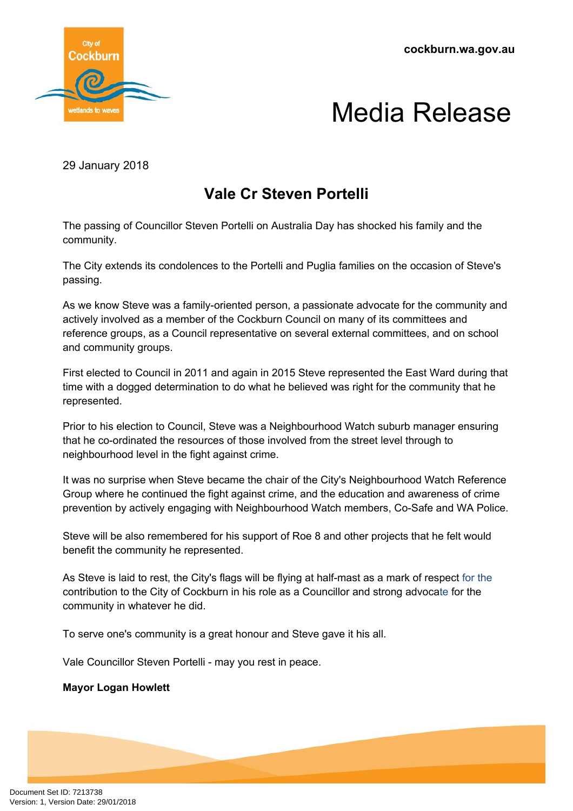**cockburn.wa.gov.au**



## Media Release

29 January 2018

## **Vale Cr Steven Portelli**

The passing of Councillor Steven Portelli on Australia Day has shocked his family and the community.

The City extends its condolences to the Portelli and Puglia families on the occasion of Steve's passing.

As we know Steve was a family-oriented person, a passionate advocate for the community and actively involved as a member of the Cockburn Council on many of its committees and reference groups, as a Council representative on several external committees, and on school and community groups.

First elected to Council in 2011 and again in 2015 Steve represented the East Ward during that time with a dogged determination to do what he believed was right for the community that he represented.

Prior to his election to Council, Steve was a Neighbourhood Watch suburb manager ensuring that he co-ordinated the resources of those involved from the street level through to neighbourhood level in the fight against crime.

It was no surprise when Steve became the chair of the City's Neighbourhood Watch Reference Group where he continued the fight against crime, and the education and awareness of crime prevention by actively engaging with Neighbourhood Watch members, Co-Safe and WA Police.

Steve will be also remembered for his support of Roe 8 and other projects that he felt would benefit the community he represented.

As Steve is laid to rest, the City's flags will be flying at half-mast as a mark of respect for the contribution to the City of Cockburn in his role as a Councillor and strong advocate for the community in whatever he did.

To serve one's community is a great honour and Steve gave it his all.

Vale Councillor Steven Portelli - may you rest in peace.

## **Mayor Logan Howlett**